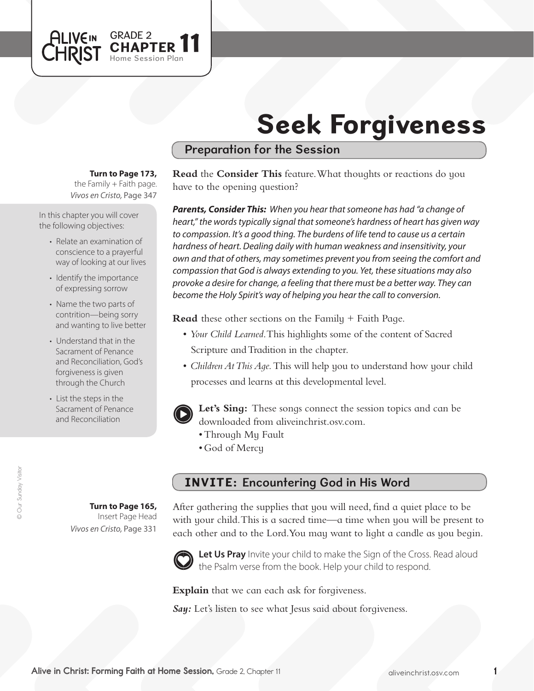# Seek Forgiveness

# Preparation for the Session

## **Turn to Page 173,**

GRADE 2<br>CHAPTER 11

Home Session Plan

*Vivos en Cristo,* Page 347 the Family  $+$  Faith page.

In this chapter you will cover the following objectives:

**ALIVEIN LHRIST** 

- Relate an examination of conscience to a prayerful way of looking at our lives
- Identify the importance of expressing sorrow
- Name the two parts of contrition—being sorry and wanting to live better
- Understand that in the Sacrament of Penance and Reconciliation, God's forgiveness is given through the Church
- List the steps in the Sacrament of Penance and Reconciliation

**Turn to Page 165,** Insert Page Head

*Vivos en Cristo,* Page 331

**Read** the **Consider This** feature. What thoughts or reactions do you have to the opening question?

*Parents, Consider This: When you hear that someone has had "a change of heart," the words typically signal that someone's hardness of heart has given way to compassion. It's a good thing. The burdens of life tend to cause us a certain hardness of heart. Dealing daily with human weakness and insensitivity, your own and that of others, may sometimes prevent you from seeing the comfort and compassion that God is always extending to you. Yet, these situations may also provoke a desire for change, a feeling that there must be a better way. They can become the Holy Spirit's way of helping you hear the call to conversion.*

**Read** these other sections on the Family + Faith Page.

- • *Your Child Learned*. This highlights some of the content of Sacred Scripture and Tradition in the chapter.
- *Children At This Aqe*. This will help you to understand how your child processes and learns at this developmental level.



**Let's Sing:** These songs connect the session topics and can be downloaded from aliveinchrist.osv.com.

- Through My Fault
- God of Mercy

# INVITE: Encountering God in His Word

After gathering the supplies that you will need, find a quiet place to be with your child. This is a sacred time—a time when you will be present to each other and to the Lord. You may want to light a candle as you begin.



Let Us Pray Invite your child to make the Sign of the Cross. Read aloud the Psalm verse from the book. Help your child to respond.

**Explain** that we can each ask for forgiveness.

*Say:* Let's listen to see what Jesus said about forgiveness.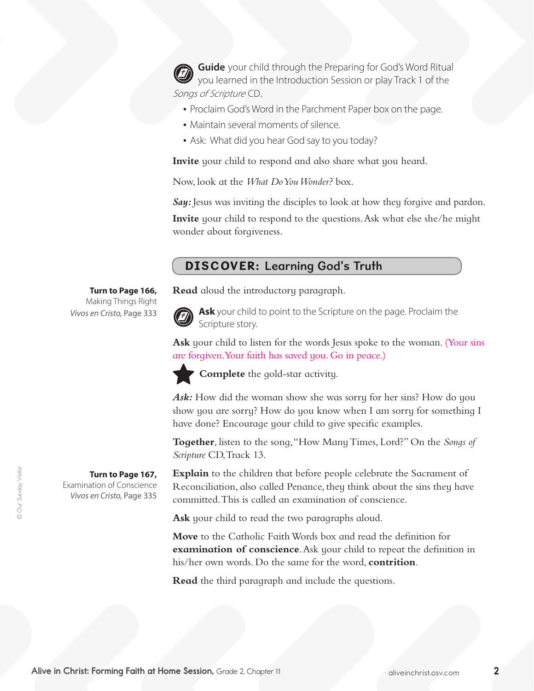**Guide** your child through the Preparing for God's Word Ritual you learned in the Introduction Session or play Track 1 of the Songs of Scripture CD.

- Proclaim God's Word in the Parchment Paper box on the page.
- Maintain several moments of silence.
- Ask: What did you hear God say to you today?

**Invite** your child to respond and also share what you heard.

Now, look at the *What Do You Wonder?* box.

**Say:** Jesus was inviting the disciples to look at how they forgive and pardon. **Invite** your child to respond to the questions. Ask what else she/he might wonder about forgiveness.

# DISCOVER: Learning God's Truth

**Read** aloud the introductory paragraph.



**Ask** your child to point to the Scripture on the page. Proclaim the Scripture story.

Ask your child to listen for the words Jesus spoke to the woman. (Your sins are forgiven.Your faith has saved you. Go in peace.)



**Complete** the gold-star activity.

Ask: How did the woman show she was sorry for her sins? How do you show you are sorry? How do you know when I am sorry for something I have done? Encourage your child to give specific examples.

**Together**, listen to the song,"How ManyTimes, Lord?" On the *Songs of Scripture* CD, Track 13.

**Explain** to the children that before people celebrate the Sacrament of Reconciliation, also called Penance, they think about the sins they have committed. This is called an examination of conscience.

Ask your child to read the two paragraphs aloud.

**Move** to the Catholic Faith Words box and read the definition for **examination of conscience**. Ask your child to repeat the definition in his/her own words. Do the same for the word, **contrition**.

**Read** the third paragraph and include the questions.

#### **Turn to Page 166,** Making Things Right *Vivos en Cristo,* Page 333

**Turn to Page 167,** 

Examination of Conscience *Vivos en Cristo,* Page 335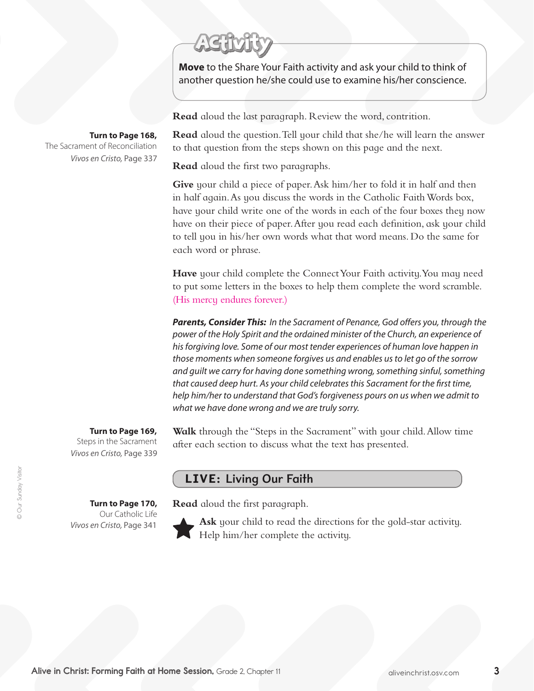**Move** to the Share Your Faith activity and ask your child to think of another question he/she could use to examine his/her conscience.

**Read** aloud the last paragraph. Review the word, contrition.

**Read** aloud the question. Tell your child that she/he will learn the answer to that question from the steps shown on this page and the next.

**Read** aloud the first two paragraphs.

**Give** your child a piece of paper. Ask him/her to fold it in half and then in half again. As you discuss the words in the Catholic Faith Words box, have your child write one of the words in each of the four boxes they now have on their piece of paper. After you read each definition, ask your child to tell you in his/her own words what that word means. Do the same for each word or phrase.

**Have** your child complete the Connect Your Faith activity. You may need to put some letters in the boxes to help them complete the word scramble. (His mercy endures forever.)

*Parents, Consider This: In the Sacrament of Penance, God offers you, through the power of the Holy Spirit and the ordained minister of the Church, an experience of his forgiving love. Some of our most tender experiences of human love happen in those moments when someone forgives us and enables us to let go of the sorrow and guilt we carry for having done something wrong, something sinful, something that caused deep hurt. As your child celebrates this Sacrament for the first time, help him/her to understand that God's forgiveness pours on us when we admit to what we have done wrong and we are truly sorry.*

#### **Turn to Page 169,**

**Turn to Page 170,**  Our Catholic Life

*Vivos en Cristo,* Page 341

Steps in the Sacrament *Vivos en Cristo,* Page 339

**Walk** through the "Steps in the Sacrament" with your child.Allow time after each section to discuss what the text has presented.

## LIVE: Living Our Faith

**Read** aloud the first paragraph.



**Ask** your child to read the directions for the gold-star activity. Help him/her complete the activity.

**Turn to Page 168,**

The Sacrament of Reconciliation *Vivos en Cristo,* Page 337

Alive in Christ: Forming Faith at Home Session, Grade 2, Chapter 11 and The Multiple and Multiple inchrist.osv.com